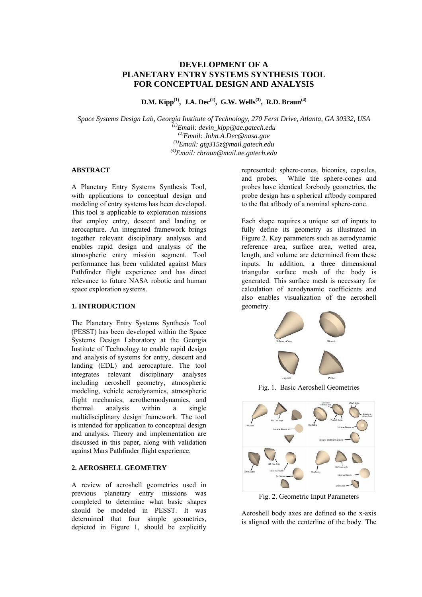# **DEVELOPMENT OF A PLANETARY ENTRY SYSTEMS SYNTHESIS TOOL FOR CONCEPTUAL DESIGN AND ANALYSIS**

**D.M. Kipp<sup>(1)</sup>, J.A. Dec<sup>(2)</sup>, G.W. Wells<sup>(3)</sup>, R.D. Braun<sup>(4)</sup>** 

*Space Systems Design Lab, Georgia Institute of Technology, 270 Ferst Drive, Atlanta, GA 30332, USA (1) Email: devin\_kipp@ae.gatech.edu (2) Email: John.A.Dec@nasa.gov (3) Email: gtg315z@mail.gatech.edu (4) Email: rbraun@mail.ae.gatech.edu* 

## **ABSTRACT**

A Planetary Entry Systems Synthesis Tool, with applications to conceptual design and modeling of entry systems has been developed. This tool is applicable to exploration missions that employ entry, descent and landing or aerocapture. An integrated framework brings together relevant disciplinary analyses and enables rapid design and analysis of the atmospheric entry mission segment. Tool performance has been validated against Mars Pathfinder flight experience and has direct relevance to future NASA robotic and human space exploration systems.

#### **1. INTRODUCTION**

The Planetary Entry Systems Synthesis Tool (PESST) has been developed within the Space Systems Design Laboratory at the Georgia Institute of Technology to enable rapid design and analysis of systems for entry, descent and landing (EDL) and aerocapture. The tool integrates relevant disciplinary analyses including aeroshell geometry, atmospheric modeling, vehicle aerodynamics, atmospheric flight mechanics, aerothermodynamics, and thermal analysis within a single multidisciplinary design framework. The tool is intended for application to conceptual design and analysis. Theory and implementation are discussed in this paper, along with validation against Mars Pathfinder flight experience.

## **2. AEROSHELL GEOMETRY**

A review of aeroshell geometries used in previous planetary entry missions was completed to determine what basic shapes should be modeled in PESST. It was determined that four simple geometries, depicted in Figure 1, should be explicitly represented: sphere-cones, biconics, capsules, and probes. While the sphere-cones and probes have identical forebody geometries, the probe design has a spherical aftbody compared to the flat aftbody of a nominal sphere-cone.

Each shape requires a unique set of inputs to fully define its geometry as illustrated in Figure 2. Key parameters such as aerodynamic reference area, surface area, wetted area, length, and volume are determined from these inputs. In addition, a three dimensional triangular surface mesh of the body is generated. This surface mesh is necessary for calculation of aerodynamic coefficients and also enables visualization of the aeroshell geometry.



Fig. 1. Basic Aeroshell Geometries



Fig. 2. Geometric Input Parameters

Aeroshell body axes are defined so the x-axis is aligned with the centerline of the body. The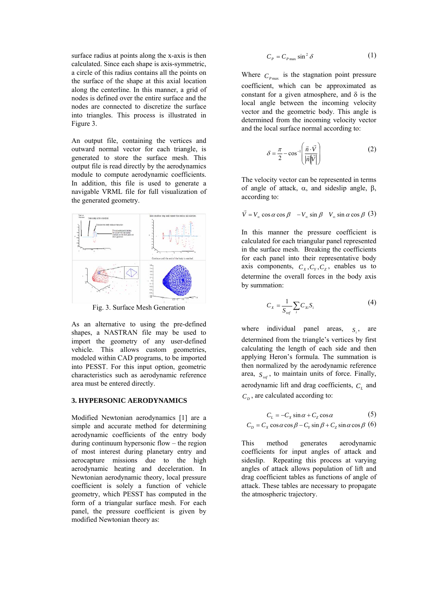surface radius at points along the x-axis is then calculated. Since each shape is axis-symmetric, a circle of this radius contains all the points on the surface of the shape at this axial location along the centerline. In this manner, a grid of nodes is defined over the entire surface and the nodes are connected to discretize the surface into triangles. This process is illustrated in Figure 3.

An output file, containing the vertices and outward normal vector for each triangle, is generated to store the surface mesh. This output file is read directly by the aerodynamics module to compute aerodynamic coefficients. In addition, this file is used to generate a navigable VRML file for full visualization of the generated geometry.



Fig. 3. Surface Mesh Generation

As an alternative to using the pre-defined shapes, a NASTRAN file may be used to import the geometry of any user-defined vehicle. This allows custom geometries, modeled within CAD programs, to be imported into PESST. For this input option, geometric characteristics such as aerodynamic reference area must be entered directly.

#### **3. HYPERSONIC AERODYNAMICS**

Modified Newtonian aerodynamics [1] are a simple and accurate method for determining aerodynamic coefficients of the entry body during continuum hypersonic flow – the region of most interest during planetary entry and aerocapture missions due to the high aerodynamic heating and deceleration. In Newtonian aerodynamic theory, local pressure coefficient is solely a function of vehicle geometry, which PESST has computed in the form of a triangular surface mesh. For each panel, the pressure coefficient is given by modified Newtonian theory as:

$$
C_P = C_{P\max} \sin^2 \delta \tag{1}
$$

Where  $C_{P_{\text{max}}}$  is the stagnation point pressure coefficient, which can be approximated as constant for a given atmosphere, and  $\delta$  is the local angle between the incoming velocity vector and the geometric body. This angle is determined from the incoming velocity vector and the local surface normal according to:

$$
\delta = \frac{\pi}{2} - \cos^{-1} \left( \frac{\vec{n} \cdot \vec{v}}{|\vec{n}| |\vec{v}|} \right)
$$
 (2)

The velocity vector can be represented in terms of angle of attack, α, and sideslip angle, β, according to:

$$
\vec{V} = V_{\infty} \cos \alpha \cos \beta - V_{\infty} \sin \beta \quad V_{\infty} \sin \alpha \cos \beta \tag{3}
$$

In this manner the pressure coefficient is calculated for each triangular panel represented in the surface mesh. Breaking the coefficients for each panel into their representative body axis components,  $C_x, C_y, C_z$ , enables us to determine the overall forces in the body axis by summation:

$$
C_x = \frac{1}{S_{ref}} \sum_i C_{xi} S_i
$$
 (4)

where individual panel areas,  $S_i$ , are determined from the triangle's vertices by first calculating the length of each side and then applying Heron's formula. The summation is then normalized by the aerodynamic reference area,  $S_{ref}$ , to maintain units of force. Finally, aerodynamic lift and drag coefficients,  $C<sub>L</sub>$  and  $C_D$ , are calculated according to:

$$
C_{L} = -C_{X} \sin \alpha + C_{Z} \cos \alpha \tag{5}
$$

$$
C_D = C_x \cos \alpha \cos \beta - C_y \sin \beta + C_z \sin \alpha \cos \beta
$$
 (6)

This method generates aerodynamic coefficients for input angles of attack and sideslip. Repeating this process at varying angles of attack allows population of lift and drag coefficient tables as functions of angle of attack. These tables are necessary to propagate the atmospheric trajectory.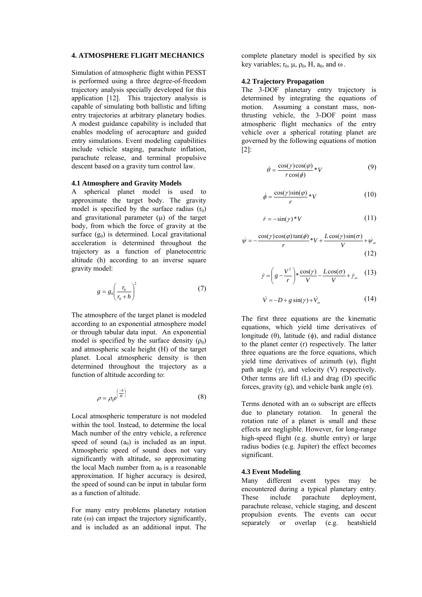#### **4. ATMOSPHERE FLIGHT MECHANICS**

Simulation of atmospheric flight within PESST is performed using a three degree-of-freedom trajectory analysis specially developed for this application [12]. This trajectory analysis is capable of simulating both ballistic and lifting entry trajectories at arbitrary planetary bodies. A modest guidance capability is included that enables modeling of aerocapture and guided entry simulations. Event modeling capabilities include vehicle staging, parachute inflation, parachute release, and terminal propulsive descent based on a gravity turn control law.

#### **4.1 Atmosphere and Gravity Models**

A spherical planet model is used to approximate the target body. The gravity model is specified by the surface radius  $(r_0)$ and gravitational parameter  $(u)$  of the target body, from which the force of gravity at the surface  $(g_0)$  is determined. Local gravitational acceleration is determined throughout the trajectory as a function of planetocentric altitude (h) according to an inverse square gravity model:

$$
g = g_0 \left(\frac{r_0}{r_0 + h}\right)^2 \tag{7}
$$

The atmosphere of the target planet is modeled according to an exponential atmosphere model or through tabular data input. An exponential model is specified by the surface density  $(\rho_0)$ and atmospheric scale height (H) of the target planet. Local atmospheric density is then determined throughout the trajectory as a function of altitude according to:

$$
\rho = \rho_0 e^{\left(\frac{-h}{H}\right)}\tag{8}
$$

Local atmospheric temperature is not modeled within the tool. Instead, to determine the local Mach number of the entry vehicle, a reference speed of sound  $(a_0)$  is included as an input. Atmospheric speed of sound does not vary significantly with altitude, so approximating the local Mach number from  $a_0$  is a reasonable approximation. If higher accuracy is desired, the speed of sound can be input in tabular form as a function of altitude.

For many entry problems planetary rotation rate  $(\omega)$  can impact the trajectory significantly, and is included as an additional input. The complete planetary model is specified by six key variables;  $r_0$ ,  $\mu$ ,  $\rho_0$ ,  $H$ ,  $a_0$ , and  $\omega$ .

#### **4.2 Trajectory Propagation**

The 3-DOF planetary entry trajectory is determined by integrating the equations of motion. Assuming a constant mass, nonthrusting vehicle, the 3-DOF point mass atmospheric flight mechanics of the entry vehicle over a spherical rotating planet are governed by the following equations of motion [2]:

$$
\dot{\theta} = \frac{\cos(\gamma)\cos(\phi)}{r\cos(\phi)} * V \tag{9}
$$

$$
\dot{\phi} = \frac{\cos(\gamma)\sin(\varphi)}{r} * V \tag{10}
$$

$$
\dot{r} = -\sin(\gamma) * V \tag{11}
$$

$$
\dot{\psi} = -\frac{\cos(\gamma)\cos(\varphi)\tan(\phi)}{r} * V + \frac{L\cos(\gamma)\sin(\sigma)}{V} + \dot{\psi}_{\omega}
$$
\n(12)

$$
\dot{\gamma} = \left(g - \frac{V^2}{r}\right) * \frac{\cos(\gamma)}{V} - \frac{L\cos(\sigma)}{V} + \dot{\gamma}_{\omega} \tag{13}
$$

$$
\dot{V} = -D + g \sin(\gamma) + \dot{V}_\text{m} \tag{14}
$$

The first three equations are the kinematic equations, which yield time derivatives of longitude (θ), latitude (φ), and radial distance to the planet center (r) respectively. The latter three equations are the force equations, which yield time derivatives of azimuth  $(\psi)$ , flight path angle  $(\gamma)$ , and velocity  $(V)$  respectively. Other terms are lift (L) and drag (D) specific forces, gravity (g), and vehicle bank angle  $(\sigma)$ .

Terms denoted with an ω subscript are effects due to planetary rotation. In general the rotation rate of a planet is small and these effects are negligible. However, for long-range high-speed flight (e.g. shuttle entry) or large radius bodies (e.g. Jupiter) the effect becomes significant.

## **4.3 Event Modeling**

Many different event types may be encountered during a typical planetary entry. These include parachute deployment, parachute release, vehicle staging, and descent propulsion events. The events can occur separately or overlap (e.g. heatshield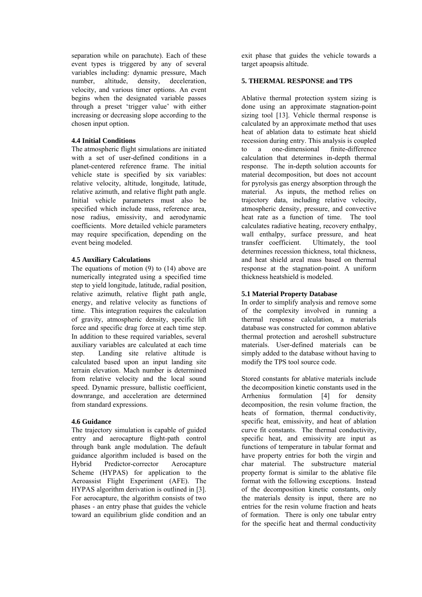separation while on parachute). Each of these event types is triggered by any of several variables including: dynamic pressure, Mach number, altitude, density, deceleration, velocity, and various timer options. An event begins when the designated variable passes through a preset 'trigger value' with either increasing or decreasing slope according to the chosen input option.

## **4.4 Initial Conditions**

The atmospheric flight simulations are initiated with a set of user-defined conditions in a planet-centered reference frame. The initial vehicle state is specified by six variables: relative velocity, altitude, longitude, latitude, relative azimuth, and relative flight path angle. Initial vehicle parameters must also be specified which include mass, reference area, nose radius, emissivity, and aerodynamic coefficients. More detailed vehicle parameters may require specification, depending on the event being modeled.

#### **4.5 Auxiliary Calculations**

The equations of motion (9) to (14) above are numerically integrated using a specified time step to yield longitude, latitude, radial position, relative azimuth, relative flight path angle, energy, and relative velocity as functions of time. This integration requires the calculation of gravity, atmospheric density, specific lift force and specific drag force at each time step. In addition to these required variables, several auxiliary variables are calculated at each time step. Landing site relative altitude is calculated based upon an input landing site terrain elevation. Mach number is determined from relative velocity and the local sound speed. Dynamic pressure, ballistic coefficient, downrange, and acceleration are determined from standard expressions.

## **4.6 Guidance**

The trajectory simulation is capable of guided entry and aerocapture flight-path control through bank angle modulation. The default guidance algorithm included is based on the Hybrid Predictor-corrector Aerocapture Scheme (HYPAS) for application to the Aeroassist Flight Experiment (AFE). The HYPAS algorithm derivation is outlined in [3]. For aerocapture, the algorithm consists of two phases - an entry phase that guides the vehicle toward an equilibrium glide condition and an exit phase that guides the vehicle towards a target apoapsis altitude.

#### **5. THERMAL RESPONSE and TPS**

Ablative thermal protection system sizing is done using an approximate stagnation-point sizing tool [13]. Vehicle thermal response is calculated by an approximate method that uses heat of ablation data to estimate heat shield recession during entry. This analysis is coupled to a one-dimensional finite-difference calculation that determines in-depth thermal response. The in-depth solution accounts for material decomposition, but does not account for pyrolysis gas energy absorption through the material. As inputs, the method relies on trajectory data, including relative velocity, atmospheric density, pressure, and convective heat rate as a function of time. The tool calculates radiative heating, recovery enthalpy, wall enthalpy, surface pressure, and heat transfer coefficient. Ultimately, the tool determines recession thickness, total thickness, and heat shield areal mass based on thermal response at the stagnation-point. A uniform thickness heatshield is modeled.

#### **5.1 Material Property Database**

In order to simplify analysis and remove some of the complexity involved in running a thermal response calculation, a materials database was constructed for common ablative thermal protection and aeroshell substructure materials. User-defined materials can be simply added to the database without having to modify the TPS tool source code.

Stored constants for ablative materials include the decomposition kinetic constants used in the Arrhenius formulation [4] for density decomposition, the resin volume fraction, the heats of formation, thermal conductivity, specific heat, emissivity, and heat of ablation curve fit constants. The thermal conductivity, specific heat, and emissivity are input as functions of temperature in tabular format and have property entries for both the virgin and char material. The substructure material property format is similar to the ablative file format with the following exceptions. Instead of the decomposition kinetic constants, only the materials density is input, there are no entries for the resin volume fraction and heats of formation. There is only one tabular entry for the specific heat and thermal conductivity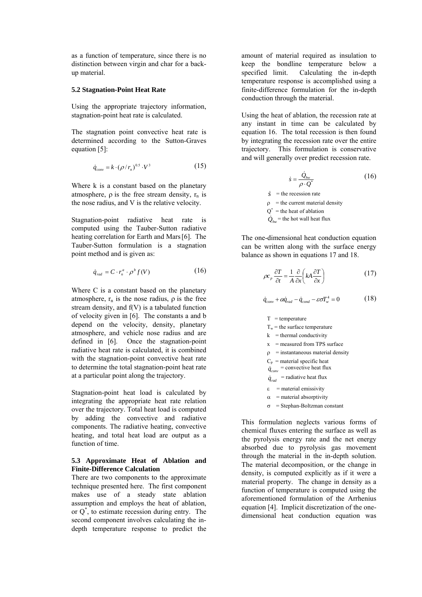as a function of temperature, since there is no distinction between virgin and char for a backup material.

#### **5.2 Stagnation-Point Heat Rate**

Using the appropriate trajectory information, stagnation-point heat rate is calculated.

The stagnation point convective heat rate is determined according to the Sutton-Graves equation [5]:

$$
\dot{q}_{conv} = k \cdot (\rho / r_n)^{0.5} \cdot V^3 \tag{15}
$$

Where k is a constant based on the planetary atmosphere,  $\rho$  is the free stream density,  $r_n$  is the nose radius, and V is the relative velocity.

Stagnation-point radiative heat rate is computed using the Tauber-Sutton radiative heating correlation for Earth and Mars[6]. The Tauber-Sutton formulation is a stagnation point method and is given as:

$$
\dot{q}_{rad} = C \cdot r_n^a \cdot \rho^b f(V) \tag{16}
$$

Where C is a constant based on the planetary atmosphere,  $r_n$  is the nose radius,  $\rho$  is the free stream density, and f(V) is a tabulated function of velocity given in [6]. The constants a and b depend on the velocity, density, planetary atmosphere, and vehicle nose radius and are defined in [6]. Once the stagnation-point radiative heat rate is calculated, it is combined with the stagnation-point convective heat rate to determine the total stagnation-point heat rate at a particular point along the trajectory.

Stagnation-point heat load is calculated by integrating the appropriate heat rate relation over the trajectory. Total heat load is computed by adding the convective and radiative components. The radiative heating, convective heating, and total heat load are output as a function of time.

## **5.3 Approximate Heat of Ablation and Finite-Difference Calculation**

There are two components to the approximate technique presented here. The first component makes use of a steady state ablation assumption and employs the heat of ablation, or Q\* , to estimate recession during entry. The second component involves calculating the indepth temperature response to predict the

amount of material required as insulation to keep the bondline temperature below a specified limit. Calculating the in-depth temperature response is accomplished using a finite-difference formulation for the in-depth conduction through the material.

Using the heat of ablation, the recession rate at any instant in time can be calculated by equation 16. The total recession is then found by integrating the recession rate over the entire trajectory. This formulation is conservative and will generally over predict recession rate.

$$
\dot{s} = \frac{\dot{Q}_{hw}}{\rho \cdot Q^*} \tag{16}
$$

 $\dot{s}$  = the recession rate  $\rho$  = the current material density  $Q^*$  = the heat of ablation  $\dot{Q}_{hw}$ <sup>=</sup> the hot wall heat flux

The one-dimensional heat conduction equation can be written along with the surface energy balance as shown in equations 17 and 18.

$$
\rho c_p \frac{\partial T}{\partial t} = \frac{1}{A} \frac{\partial}{\partial x} \left( kA \frac{\partial T}{\partial x} \right) \tag{17}
$$

$$
\dot{q}_{conv} + \alpha \dot{q}_{rad} - \dot{q}_{cond} - \varepsilon \sigma T_w^4 = 0 \tag{18}
$$

 $T =$ temperature

 $T_w$  = the surface temperature

 $k =$  thermal conductivity

 $x =$  measured from TPS surface

 $\rho$  = instantaneous material density

 $C_p$  = material specific heat

 $\dot{q}_{conv}$  = convective heat flux

 $\dot{q}_{rad}$  = radiative heat flux

 $\varepsilon$  = material emissivity

 $\alpha$  = material absorptivity

 $\sigma$  = Stephan-Boltzman constant

This formulation neglects various forms of chemical fluxes entering the surface as well as the pyrolysis energy rate and the net energy absorbed due to pyrolysis gas movement through the material in the in-depth solution. The material decomposition, or the change in density, is computed explicitly as if it were a material property. The change in density as a function of temperature is computed using the aforementioned formulation of the Arrhenius equation [4]. Implicit discretization of the onedimensional heat conduction equation was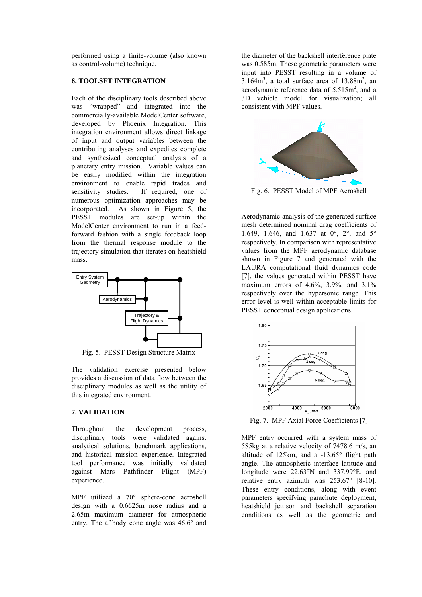performed using a finite-volume (also known as control-volume) technique.

#### **6. TOOLSET INTEGRATION**

Each of the disciplinary tools described above was "wrapped" and integrated into the commercially-available ModelCenter software, developed by Phoenix Integration. This integration environment allows direct linkage of input and output variables between the contributing analyses and expedites complete and synthesized conceptual analysis of a planetary entry mission. Variable values can be easily modified within the integration environment to enable rapid trades and sensitivity studies. If required, one of numerous optimization approaches may be incorporated. As shown in Figure 5, the PESST modules are set-up within the ModelCenter environment to run in a feedforward fashion with a single feedback loop from the thermal response module to the trajectory simulation that iterates on heatshield mass.



Fig. 5. PESST Design Structure Matrix

The validation exercise presented below provides a discussion of data flow between the disciplinary modules as well as the utility of this integrated environment.

## **7. VALIDATION**

Throughout the development process, disciplinary tools were validated against analytical solutions, benchmark applications, and historical mission experience. Integrated tool performance was initially validated against Mars Pathfinder Flight (MPF) experience.

MPF utilized a 70° sphere-cone aeroshell design with a 0.6625m nose radius and a 2.65m maximum diameter for atmospheric entry. The aftbody cone angle was 46.6° and the diameter of the backshell interference plate was 0.585m. These geometric parameters were input into PESST resulting in a volume of  $3.164m^3$ , a total surface area of  $13.88m^2$ , an aerodynamic reference data of  $5.515m^2$ , and a 3D vehicle model for visualization; all consistent with MPF values.



Fig. 6. PESST Model of MPF Aeroshell

Aerodynamic analysis of the generated surface mesh determined nominal drag coefficients of 1.649, 1.646, and 1.637 at 0°, 2°, and 5° respectively. In comparison with representative values from the MPF aerodynamic database shown in Figure 7 and generated with the LAURA computational fluid dynamics code [7], the values generated within PESST have maximum errors of 4.6%, 3.9%, and 3.1% respectively over the hypersonic range. This error level is well within acceptable limits for PESST conceptual design applications.



Fig. 7. MPF Axial Force Coefficients [7]

MPF entry occurred with a system mass of 585kg at a relative velocity of 7478.6 m/s, an altitude of 125km, and a -13.65° flight path angle. The atmospheric interface latitude and longitude were 22.63°N and 337.99°E, and relative entry azimuth was 253.67° [8-10]. These entry conditions, along with event parameters specifying parachute deployment, heatshield jettison and backshell separation conditions as well as the geometric and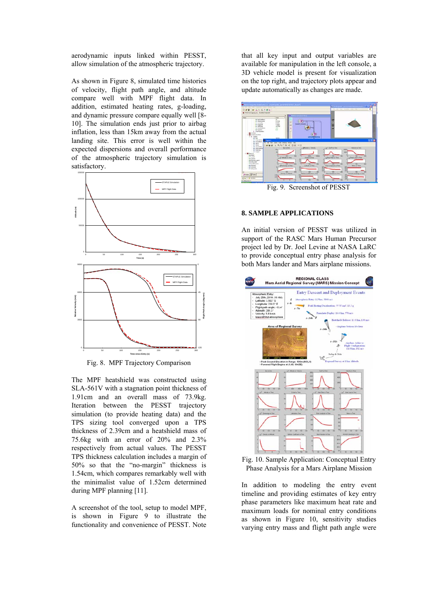aerodynamic inputs linked within PESST, allow simulation of the atmospheric trajectory.

As shown in Figure 8, simulated time histories of velocity, flight path angle, and altitude compare well with MPF flight data. In addition, estimated heating rates, g-loading, and dynamic pressure compare equally well [8- 10]. The simulation ends just prior to airbag inflation, less than 15km away from the actual landing site. This error is well within the expected dispersions and overall performance of the atmospheric trajectory simulation is satisfactory.



Fig. 8. MPF Trajectory Comparison

The MPF heatshield was constructed using SLA-561V with a stagnation point thickness of 1.91cm and an overall mass of 73.9kg. Iteration between the PESST trajectory simulation (to provide heating data) and the TPS sizing tool converged upon a TPS thickness of 2.39cm and a heatshield mass of 75.6kg with an error of 20% and 2.3% respectively from actual values. The PESST TPS thickness calculation includes a margin of 50% so that the "no-margin" thickness is 1.54cm, which compares remarkably well with the minimalist value of 1.52cm determined during MPF planning [11].

A screenshot of the tool, setup to model MPF, is shown in Figure 9 to illustrate the functionality and convenience of PESST. Note that all key input and output variables are available for manipulation in the left console, a 3D vehicle model is present for visualization on the top right, and trajectory plots appear and update automatically as changes are made.



Fig. 9. Screenshot of PESST

## **8. SAMPLE APPLICATIONS**

An initial version of PESST was utilized in support of the RASC Mars Human Precursor project led by Dr. Joel Levine at NASA LaRC to provide conceptual entry phase analysis for both Mars lander and Mars airplane missions.



Fig. 10. Sample Application: Conceptual Entry Phase Analysis for a Mars Airplane Mission

In addition to modeling the entry event timeline and providing estimates of key entry phase parameters like maximum heat rate and maximum loads for nominal entry conditions as shown in Figure 10, sensitivity studies varying entry mass and flight path angle were